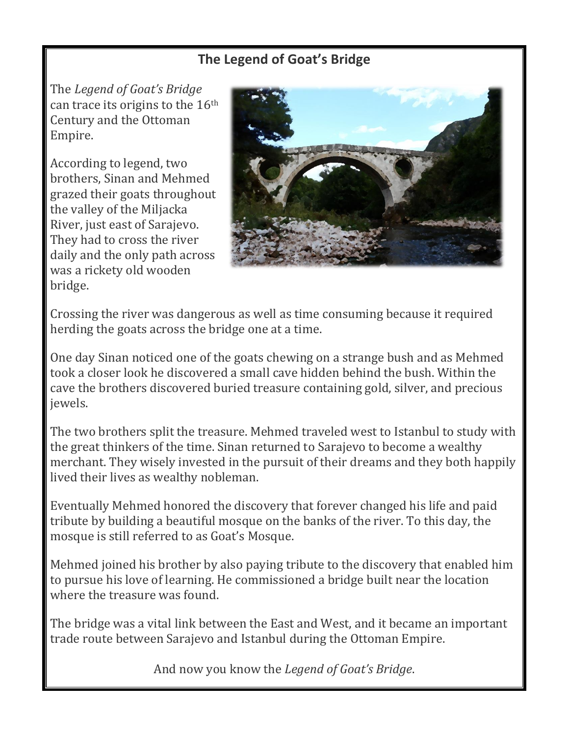### **The Legend of Goat's Bridge**

The *Legend of Goat's Bridge* can trace its origins to the  $16<sup>th</sup>$ Century and the Ottoman Empire.

According to legend, two brothers, Sinan and Mehmed grazed their goats throughout the valley of the Miljacka River, just east of Sarajevo. They had to cross the river daily and the only path across was a rickety old wooden bridge.



Crossing the river was dangerous as well as time consuming because it required herding the goats across the bridge one at a time.

One day Sinan noticed one of the goats chewing on a strange bush and as Mehmed took a closer look he discovered a small cave hidden behind the bush. Within the cave the brothers discovered buried treasure containing gold, silver, and precious jewels.

The two brothers split the treasure. Mehmed traveled west to Istanbul to study with the great thinkers of the time. Sinan returned to Sarajevo to become a wealthy merchant. They wisely invested in the pursuit of their dreams and they both happily lived their lives as wealthy nobleman.

Eventually Mehmed honored the discovery that forever changed his life and paid tribute by building a beautiful mosque on the banks of the river. To this day, the mosque is still referred to as Goat's Mosque.

Mehmed joined his brother by also paying tribute to the discovery that enabled him to pursue his love of learning. He commissioned a bridge built near the location where the treasure was found.

The bridge was a vital link between the East and West, and it became an important trade route between Sarajevo and Istanbul during the Ottoman Empire.

And now you know the *Legend of Goat's Bridge*.